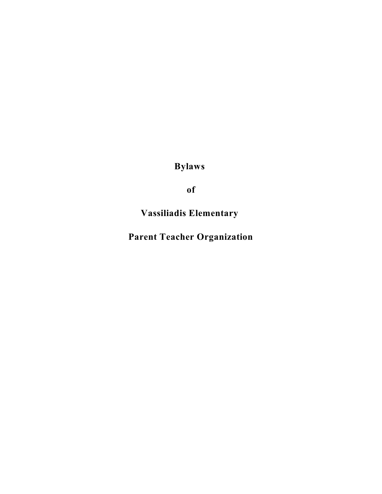**Bylaws**

**of**

**Vassiliadis Elementary**

**Parent Teacher Organization**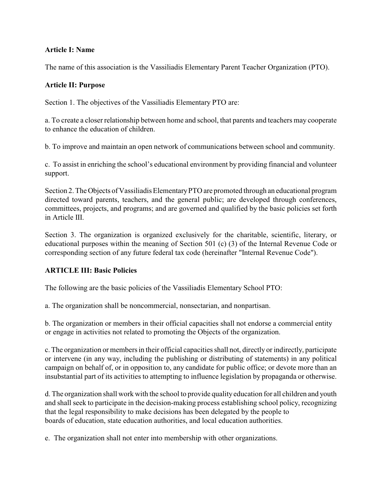# **Article I: Name**

The name of this association is the Vassiliadis Elementary Parent Teacher Organization (PTO).

### **Article II: Purpose**

Section 1. The objectives of the Vassiliadis Elementary PTO are:

a. To create a closer relationship between home and school, that parents and teachers may cooperate to enhance the education of children.

b. To improve and maintain an open network of communications between school and community.

c. To assist in enriching the school's educational environment by providing financial and volunteer support.

Section 2. The Objects of Vassiliadis Elementary PTO are promoted through an educational program directed toward parents, teachers, and the general public; are developed through conferences, committees, projects, and programs; and are governed and qualified by the basic policies set forth in Article III.

Section 3. The organization is organized exclusively for the charitable, scientific, literary, or educational purposes within the meaning of Section 501 (c) (3) of the Internal Revenue Code or corresponding section of any future federal tax code (hereinafter "Internal Revenue Code").

# **ARTICLE III: Basic Policies**

The following are the basic policies of the Vassiliadis Elementary School PTO:

a. The organization shall be noncommercial, nonsectarian, and nonpartisan.

b. The organization or members in their official capacities shall not endorse a commercial entity or engage in activities not related to promoting the Objects of the organization.

c. The organization or members in their official capacities shall not, directly or indirectly, participate or intervene (in any way, including the publishing or distributing of statements) in any political campaign on behalf of, or in opposition to, any candidate for public office; or devote more than an insubstantial part of its activities to attempting to influence legislation by propaganda or otherwise.

d. The organization shall work with the school to provide quality education for all children and youth and shall seek to participate in the decision-making process establishing school policy, recognizing that the legal responsibility to make decisions has been delegated by the people to boards of education, state education authorities, and local education authorities.

e. The organization shall not enter into membership with other organizations.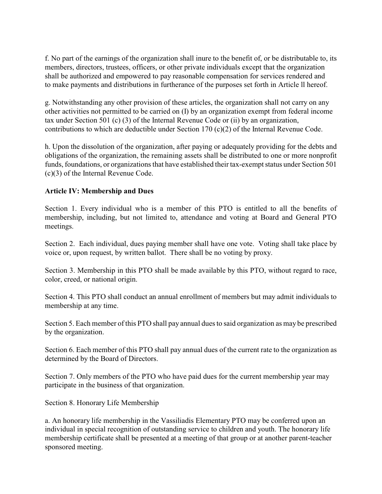f. No part of the earnings of the organization shall inure to the benefit of, or be distributable to, its members, directors, trustees, officers, or other private individuals except that the organization shall be authorized and empowered to pay reasonable compensation for services rendered and to make payments and distributions in furtherance of the purposes set forth in Article ll hereof.

g. Notwithstanding any other provision of these articles, the organization shall not carry on any other activities not permitted to be carried on (I) by an organization exempt from federal income tax under Section 501 (c) (3) of the Internal Revenue Code or (ii) by an organization, contributions to which are deductible under Section 170 (c)(2) of the Internal Revenue Code.

h. Upon the dissolution of the organization, after paying or adequately providing for the debts and obligations of the organization, the remaining assets shall be distributed to one or more nonprofit funds, foundations, or organizations that have established their tax-exempt status under Section 501 (c)(3) of the Internal Revenue Code.

# **Article IV: Membership and Dues**

Section 1. Every individual who is a member of this PTO is entitled to all the benefits of membership, including, but not limited to, attendance and voting at Board and General PTO meetings.

Section 2. Each individual, dues paying member shall have one vote. Voting shall take place by voice or, upon request, by written ballot. There shall be no voting by proxy.

Section 3. Membership in this PTO shall be made available by this PTO, without regard to race, color, creed, or national origin.

Section 4. This PTO shall conduct an annual enrollment of members but may admit individuals to membership at any time.

Section 5. Each member of this PTO shall pay annual dues to said organization as may be prescribed by the organization.

Section 6. Each member of this PTO shall pay annual dues of the current rate to the organization as determined by the Board of Directors.

Section 7. Only members of the PTO who have paid dues for the current membership year may participate in the business of that organization.

Section 8. Honorary Life Membership

a. An honorary life membership in the Vassiliadis Elementary PTO may be conferred upon an individual in special recognition of outstanding service to children and youth. The honorary life membership certificate shall be presented at a meeting of that group or at another parent-teacher sponsored meeting.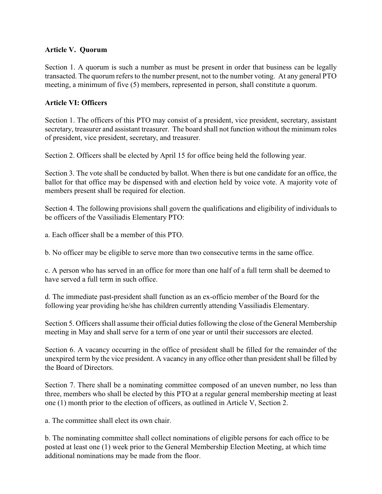# **Article V. Quorum**

Section 1. A quorum is such a number as must be present in order that business can be legally transacted. The quorum refers to the number present, not to the number voting. At any general PTO meeting, a minimum of five (5) members, represented in person, shall constitute a quorum.

# **Article VI: Officers**

Section 1. The officers of this PTO may consist of a president, vice president, secretary, assistant secretary, treasurer and assistant treasurer. The board shall not function without the minimum roles of president, vice president, secretary, and treasurer.

Section 2. Officers shall be elected by April 15 for office being held the following year.

Section 3. The vote shall be conducted by ballot. When there is but one candidate for an office, the ballot for that office may be dispensed with and election held by voice vote. A majority vote of members present shall be required for election.

Section 4. The following provisions shall govern the qualifications and eligibility of individuals to be officers of the Vassiliadis Elementary PTO:

a. Each officer shall be a member of this PTO.

b. No officer may be eligible to serve more than two consecutive terms in the same office.

c. A person who has served in an office for more than one half of a full term shall be deemed to have served a full term in such office.

d. The immediate past-president shall function as an ex-officio member of the Board for the following year providing he/she has children currently attending Vassiliadis Elementary.

Section 5. Officers shall assume their official duties following the close of the General Membership meeting in May and shall serve for a term of one year or until their successors are elected.

Section 6. A vacancy occurring in the office of president shall be filled for the remainder of the unexpired term by the vice president. A vacancy in any office other than president shall be filled by the Board of Directors.

Section 7. There shall be a nominating committee composed of an uneven number, no less than three, members who shall be elected by this PTO at a regular general membership meeting at least one (1) month prior to the election of officers, as outlined in Article V, Section 2.

a. The committee shall elect its own chair.

b. The nominating committee shall collect nominations of eligible persons for each office to be posted at least one (1) week prior to the General Membership Election Meeting, at which time additional nominations may be made from the floor.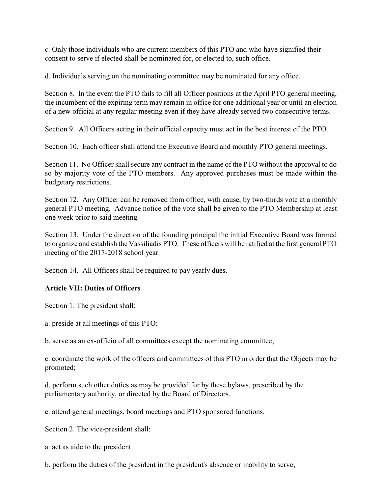c. Only those individuals who are current members of this PTO and who have signified their consent to serve if elected shall be nominated for, or elected to, such office.

d. Individuals serving on the nominating committee may be nominated for any office.

Section 8. In the event the PTO fails to fill all Officer positions at the April PTO general meeting, the incumbent of the expiring term may remain in office for one additional year or until an election of a new official at any regular meeting even if they have already served two consecutive terms.

Section 9. All Officers acting in their official capacity must act in the best interest of the PTO.

Section 10. Each officer shall attend the Executive Board and monthly PTO general meetings.

Section 11. No Officer shall secure any contract in the name of the PTO without the approval to do so by majority vote of the PTO members. Any approved purchases must be made within the budgetary restrictions.

Section 12. Any Officer can be removed from office, with cause, by two-thirds vote at a monthly general PTO meeting. Advance notice of the vote shall be given to the PTO Membership at least one week prior to said meeting.

Section 13. Under the direction of the founding principal the initial Executive Board was formed to organize and establish the Vassiliadis PTO. These officers will be ratified at the first general PTO meeting of the 2017-2018 school year.

Section 14. All Officers shall be required to pay yearly dues.

# **Article VII: Duties of Officers**

Section 1. The president shall:

a. preside at all meetings of this PTO;

b. serve as an ex-officio of all committees except the nominating committee;

c. coordinate the work of the officers and committees of this PTO in order that the Objects may be promoted;

d. perform such other duties as may be provided for by these bylaws, prescribed by the parliamentary authority, or directed by the Board of Directors.

e. attend general meetings, board meetings and PTO sponsored functions.

Section 2. The vice-president shall:

a. act as aide to the president

b. perform the duties of the president in the president's absence or inability to serve;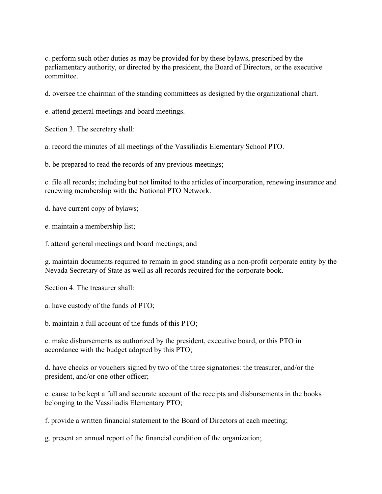c. perform such other duties as may be provided for by these bylaws, prescribed by the parliamentary authority, or directed by the president, the Board of Directors, or the executive committee.

d. oversee the chairman of the standing committees as designed by the organizational chart.

e. attend general meetings and board meetings.

Section 3. The secretary shall:

a. record the minutes of all meetings of the Vassiliadis Elementary School PTO.

b. be prepared to read the records of any previous meetings;

c. file all records; including but not limited to the articles of incorporation, renewing insurance and renewing membership with the National PTO Network.

d. have current copy of bylaws;

e. maintain a membership list;

f. attend general meetings and board meetings; and

g. maintain documents required to remain in good standing as a non-profit corporate entity by the Nevada Secretary of State as well as all records required for the corporate book.

Section 4. The treasurer shall:

a. have custody of the funds of PTO;

b. maintain a full account of the funds of this PTO;

c. make disbursements as authorized by the president, executive board, or this PTO in accordance with the budget adopted by this PTO;

d. have checks or vouchers signed by two of the three signatories: the treasurer, and/or the president, and/or one other officer;

e. cause to be kept a full and accurate account of the receipts and disbursements in the books belonging to the Vassiliadis Elementary PTO;

f. provide a written financial statement to the Board of Directors at each meeting;

g. present an annual report of the financial condition of the organization;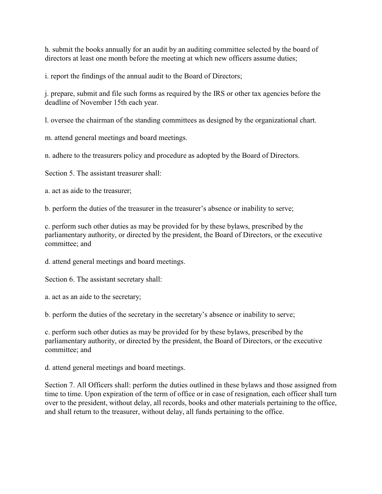h. submit the books annually for an audit by an auditing committee selected by the board of directors at least one month before the meeting at which new officers assume duties;

i. report the findings of the annual audit to the Board of Directors;

j. prepare, submit and file such forms as required by the IRS or other tax agencies before the deadline of November 15th each year.

l. oversee the chairman of the standing committees as designed by the organizational chart.

m. attend general meetings and board meetings.

n. adhere to the treasurers policy and procedure as adopted by the Board of Directors.

Section 5. The assistant treasurer shall:

a. act as aide to the treasurer;

b. perform the duties of the treasurer in the treasurer's absence or inability to serve;

c. perform such other duties as may be provided for by these bylaws, prescribed by the parliamentary authority, or directed by the president, the Board of Directors, or the executive committee; and

d. attend general meetings and board meetings.

Section 6. The assistant secretary shall:

a. act as an aide to the secretary;

b. perform the duties of the secretary in the secretary's absence or inability to serve;

c. perform such other duties as may be provided for by these bylaws, prescribed by the parliamentary authority, or directed by the president, the Board of Directors, or the executive committee; and

d. attend general meetings and board meetings.

Section 7. All Officers shall: perform the duties outlined in these bylaws and those assigned from time to time. Upon expiration of the term of office or in case of resignation, each officer shall turn over to the president, without delay, all records, books and other materials pertaining to the office, and shall return to the treasurer, without delay, all funds pertaining to the office.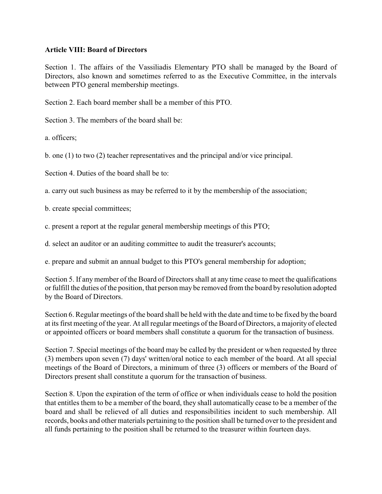### **Article VIII: Board of Directors**

Section 1. The affairs of the Vassiliadis Elementary PTO shall be managed by the Board of Directors, also known and sometimes referred to as the Executive Committee, in the intervals between PTO general membership meetings.

Section 2. Each board member shall be a member of this PTO.

Section 3. The members of the board shall be:

a. officers;

b. one (1) to two (2) teacher representatives and the principal and/or vice principal.

Section 4. Duties of the board shall be to:

a. carry out such business as may be referred to it by the membership of the association;

b. create special committees;

c. present a report at the regular general membership meetings of this PTO;

d. select an auditor or an auditing committee to audit the treasurer's accounts;

e. prepare and submit an annual budget to this PTO's general membership for adoption;

Section 5. If any member of the Board of Directors shall at any time cease to meet the qualifications or fulfill the duties of the position, that person may be removed from the board by resolution adopted by the Board of Directors.

Section 6. Regular meetings of the board shall be held with the date and time to be fixed by the board at its first meeting of the year. At all regular meetings of the Board of Directors, a majority of elected or appointed officers or board members shall constitute a quorum for the transaction of business.

Section 7. Special meetings of the board may be called by the president or when requested by three (3) members upon seven (7) days' written/oral notice to each member of the board. At all special meetings of the Board of Directors, a minimum of three (3) officers or members of the Board of Directors present shall constitute a quorum for the transaction of business.

Section 8. Upon the expiration of the term of office or when individuals cease to hold the position that entitles them to be a member of the board, they shall automatically cease to be a member of the board and shall be relieved of all duties and responsibilities incident to such membership. All records, books and other materials pertaining to the position shall be turned over to the president and all funds pertaining to the position shall be returned to the treasurer within fourteen days.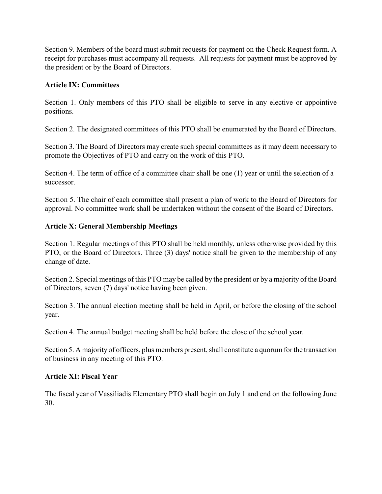Section 9. Members of the board must submit requests for payment on the Check Request form. A receipt for purchases must accompany all requests. All requests for payment must be approved by the president or by the Board of Directors.

# **Article IX: Committees**

Section 1. Only members of this PTO shall be eligible to serve in any elective or appointive positions.

Section 2. The designated committees of this PTO shall be enumerated by the Board of Directors.

Section 3. The Board of Directors may create such special committees as it may deem necessary to promote the Objectives of PTO and carry on the work of this PTO.

Section 4. The term of office of a committee chair shall be one (1) year or until the selection of a successor.

Section 5. The chair of each committee shall present a plan of work to the Board of Directors for approval. No committee work shall be undertaken without the consent of the Board of Directors.

# **Article X: General Membership Meetings**

Section 1. Regular meetings of this PTO shall be held monthly, unless otherwise provided by this PTO, or the Board of Directors. Three (3) days' notice shall be given to the membership of any change of date.

Section 2. Special meetings of this PTO may be called by the president or by a majority of the Board of Directors, seven (7) days' notice having been given.

Section 3. The annual election meeting shall be held in April, or before the closing of the school year.

Section 4. The annual budget meeting shall be held before the close of the school year.

Section 5. A majority of officers, plus members present, shall constitute a quorum for the transaction of business in any meeting of this PTO.

# **Article XI: Fiscal Year**

The fiscal year of Vassiliadis Elementary PTO shall begin on July 1 and end on the following June 30.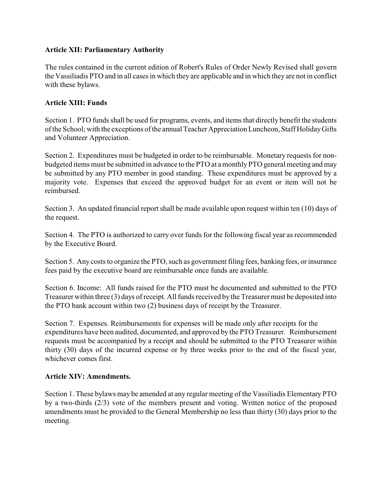# **Article XII: Parliamentary Authority**

The rules contained in the current edition of Robert's Rules of Order Newly Revised shall govern the Vassiliadis PTO and in all cases in which they are applicable and in which they are not in conflict with these bylaws.

# **Article XIII: Funds**

Section 1. PTO funds shall be used for programs, events, and items that directly benefit the students of the School; with the exceptions of the annual Teacher Appreciation Luncheon, Staff Holiday Gifts and Volunteer Appreciation.

Section 2. Expenditures must be budgeted in order to be reimbursable. Monetary requests for nonbudgeted items must be submitted in advance to the PTO at a monthly PTO general meeting and may be submitted by any PTO member in good standing. These expenditures must be approved by a majority vote. Expenses that exceed the approved budget for an event or item will not be reimbursed.

Section 3. An updated financial report shall be made available upon request within ten (10) days of the request.

Section 4. The PTO is authorized to carry over funds for the following fiscal year as recommended by the Executive Board.

Section 5. Any costs to organize the PTO, such as government filing fees, banking fees, or insurance fees paid by the executive board are reimbursable once funds are available.

Section 6. Income: All funds raised for the PTO must be documented and submitted to the PTO Treasurer within three (3) days of receipt. All funds received by the Treasurer must be deposited into the PTO bank account within two (2) business days of receipt by the Treasurer.

Section 7. Expenses. Reimbursements for expenses will be made only after receipts for the expenditures have been audited, documented, and approved by the PTO Treasurer. Reimbursement requests must be accompanied by a receipt and should be submitted to the PTO Treasurer within thirty (30) days of the incurred expense or by three weeks prior to the end of the fiscal year, whichever comes first.

# **Article XIV: Amendments.**

Section 1. These bylaws may be amended at any regular meeting of the Vassiliadis Elementary PTO by a two-thirds (2/3) vote of the members present and voting. Written notice of the proposed amendments must be provided to the General Membership no less than thirty (30) days prior to the meeting.